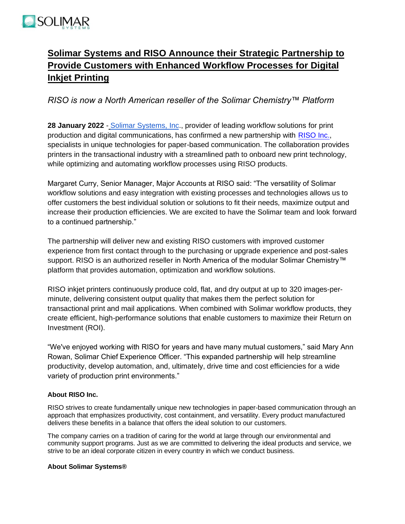

## **Solimar Systems and RISO Announce their Strategic Partnership to Provide Customers with Enhanced Workflow Processes for Digital Inkjet Printing**

*RISO is now a North American reseller of the Solimar Chemistry™ Platform*

**28 January 2022** - [Solimar Systems, Inc.,](https://www.solimarsystems.com/) provider of leading workflow solutions for print production and digital communications, has confirmed a new partnership with [RISO](https://us.riso.com/) Inc., specialists in unique technologies for paper-based communication. The collaboration provides printers in the transactional industry with a streamlined path to onboard new print technology, while optimizing and automating workflow processes using RISO products.

Margaret Curry, Senior Manager, Major Accounts at RISO said: "The versatility of Solimar workflow solutions and easy integration with existing processes and technologies allows us to offer customers the best individual solution or solutions to fit their needs, maximize output and increase their production efficiencies. We are excited to have the Solimar team and look forward to a continued partnership."

The partnership will deliver new and existing RISO customers with improved customer experience from first contact through to the purchasing or upgrade experience and post-sales support. RISO is an authorized reseller in North America of the modular Solimar Chemistry™ platform that provides automation, optimization and workflow solutions.

RISO inkjet printers continuously produce cold, flat, and dry output at up to 320 images-perminute, delivering consistent output quality that makes them the perfect solution for transactional print and mail applications. When combined with Solimar workflow products, they create efficient, high-performance solutions that enable customers to maximize their Return on Investment (ROI).

"We've enjoyed working with RISO for years and have many mutual customers," said Mary Ann Rowan, Solimar Chief Experience Officer. "This expanded partnership will help streamline productivity, develop automation, and, ultimately, drive time and cost efficiencies for a wide variety of production print environments."

## **About RISO Inc.**

RISO strives to create fundamentally unique new technologies in paper-based communication through an approach that emphasizes productivity, cost containment, and versatility. Every product manufactured delivers these benefits in a balance that offers the ideal solution to our customers.

The company carries on a tradition of caring for the world at large through our environmental and community support programs. Just as we are committed to delivering the ideal products and service, we strive to be an ideal corporate citizen in every country in which we conduct business.

## **About Solimar Systems®**